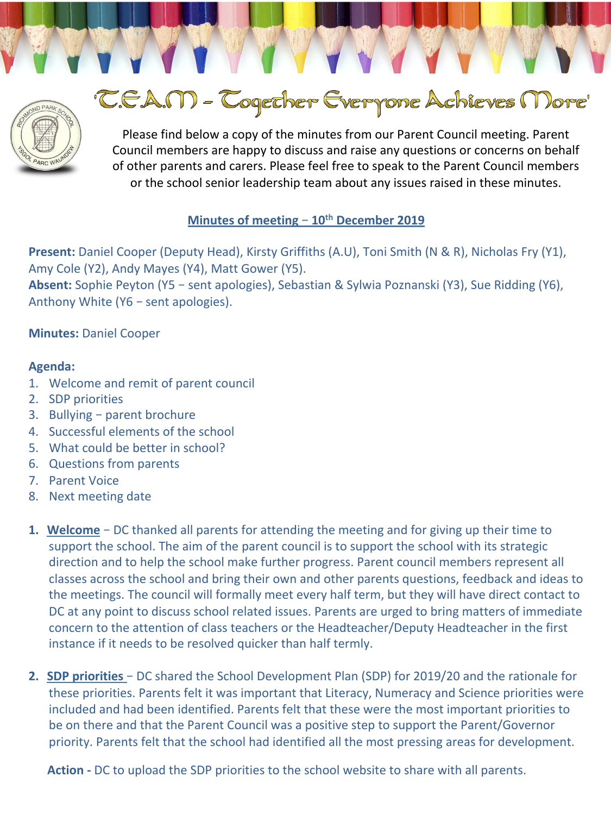

# 'C.E.A.M - Cogether Everyone Achieves More'

Please find below a copy of the minutes from our Parent Council meeting. Parent Council members are happy to discuss and raise any questions or concerns on behalf of other parents and carers. Please feel free to speak to the Parent Council members or the school senior leadership team about any issues raised in these minutes.

# Minutes of meeting - 10<sup>th</sup> December 2019

**Present:** Daniel Cooper (Deputy Head), Kirsty Griffiths (A.U), Toni Smith (N & R), Nicholas Fry (Y1), Amy Cole (Y2), Andy Mayes (Y4), Matt Gower (Y5). Absent: Sophie Peyton (Y5 - sent apologies), Sebastian & Sylwia Poznanski (Y3), Sue Ridding (Y6), Anthony White  $(Y6 - sent$  apologies).

### **Minutes: Daniel Cooper**

### **Agenda:**

- 1. Welcome and remit of parent council
- 2. SDP priorities
- 3. Bullying  $-$  parent brochure
- 4. Successful elements of the school
- 5. What could be better in school?
- 6. Questions from parents
- 7. Parent Voice
- 8. Next meeting date
- **1. Welcome** DC thanked all parents for attending the meeting and for giving up their time to support the school. The aim of the parent council is to support the school with its strategic direction and to help the school make further progress. Parent council members represent all classes across the school and bring their own and other parents questions, feedback and ideas to the meetings. The council will formally meet every half term, but they will have direct contact to DC at any point to discuss school related issues. Parents are urged to bring matters of immediate concern to the attention of class teachers or the Headteacher/Deputy Headteacher in the first instance if it needs to be resolved quicker than half termly.
- **2. SDP priorities** DC shared the School Development Plan (SDP) for 2019/20 and the rationale for these priorities. Parents felt it was important that Literacy, Numeracy and Science priorities were included and had been identified. Parents felt that these were the most important priorities to be on there and that the Parent Council was a positive step to support the Parent/Governor priority. Parents felt that the school had identified all the most pressing areas for development.

**Action** - DC to upload the SDP priorities to the school website to share with all parents.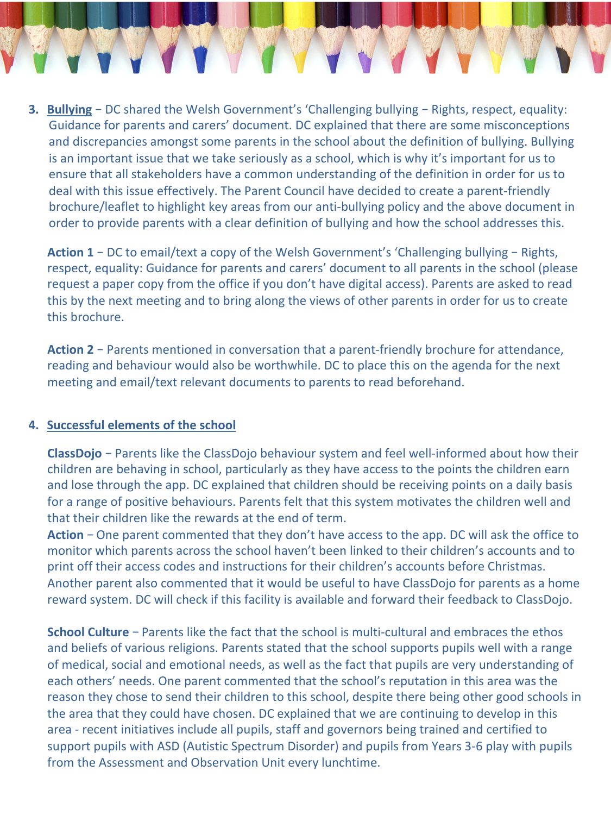**3. Bullying** – DC shared the Welsh Government's 'Challenging bullying – Rights, respect, equality: Guidance for parents and carers' document. DC explained that there are some misconceptions and discrepancies amongst some parents in the school about the definition of bullying. Bullying is an important issue that we take seriously as a school, which is why it's important for us to ensure that all stakeholders have a common understanding of the definition in order for us to deal with this issue effectively. The Parent Council have decided to create a parent-friendly brochure/leaflet to highlight key areas from our anti-bullying policy and the above document in order to provide parents with a clear definition of bullying and how the school addresses this.

**Action 1** – DC to email/text a copy of the Welsh Government's 'Challenging bullying – Rights, respect, equality: Guidance for parents and carers' document to all parents in the school (please request a paper copy from the office if you don't have digital access). Parents are asked to read this by the next meeting and to bring along the views of other parents in order for us to create this brochure.

**Action 2** – Parents mentioned in conversation that a parent-friendly brochure for attendance, reading and behaviour would also be worthwhile. DC to place this on the agenda for the next meeting and email/text relevant documents to parents to read beforehand.

### **4. Successful elements of the school**

**ClassDojo** – Parents like the ClassDojo behaviour system and feel well-informed about how their children are behaving in school, particularly as they have access to the points the children earn and lose through the app. DC explained that children should be receiving points on a daily basis for a range of positive behaviours. Parents felt that this system motivates the children well and that their children like the rewards at the end of term.

Action - One parent commented that they don't have access to the app. DC will ask the office to monitor which parents across the school haven't been linked to their children's accounts and to print off their access codes and instructions for their children's accounts before Christmas. Another parent also commented that it would be useful to have ClassDojo for parents as a home reward system. DC will check if this facility is available and forward their feedback to ClassDojo.

**School Culture** – Parents like the fact that the school is multi-cultural and embraces the ethos and beliefs of various religions. Parents stated that the school supports pupils well with a range of medical, social and emotional needs, as well as the fact that pupils are very understanding of each others' needs. One parent commented that the school's reputation in this area was the reason they chose to send their children to this school, despite there being other good schools in the area that they could have chosen. DC explained that we are continuing to develop in this area - recent initiatives include all pupils, staff and governors being trained and certified to support pupils with ASD (Autistic Spectrum Disorder) and pupils from Years 3-6 play with pupils from the Assessment and Observation Unit every lunchtime.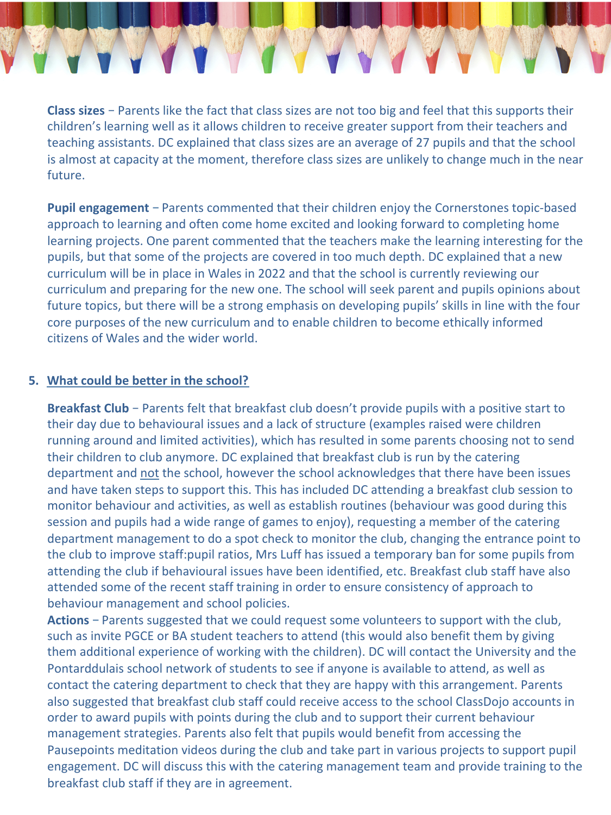**Class sizes** – Parents like the fact that class sizes are not too big and feel that this supports their children's learning well as it allows children to receive greater support from their teachers and teaching assistants. DC explained that class sizes are an average of 27 pupils and that the school is almost at capacity at the moment, therefore class sizes are unlikely to change much in the near future. 

**Pupil engagement** – Parents commented that their children enjoy the Cornerstones topic-based approach to learning and often come home excited and looking forward to completing home learning projects. One parent commented that the teachers make the learning interesting for the pupils, but that some of the projects are covered in too much depth. DC explained that a new curriculum will be in place in Wales in 2022 and that the school is currently reviewing our curriculum and preparing for the new one. The school will seek parent and pupils opinions about future topics, but there will be a strong emphasis on developing pupils' skills in line with the four core purposes of the new curriculum and to enable children to become ethically informed citizens of Wales and the wider world.

### **5.** What could be better in the school?

**Breakfast Club** – Parents felt that breakfast club doesn't provide pupils with a positive start to their day due to behavioural issues and a lack of structure (examples raised were children running around and limited activities), which has resulted in some parents choosing not to send their children to club anymore. DC explained that breakfast club is run by the catering department and not the school, however the school acknowledges that there have been issues and have taken steps to support this. This has included DC attending a breakfast club session to monitor behaviour and activities, as well as establish routines (behaviour was good during this session and pupils had a wide range of games to enjoy), requesting a member of the catering department management to do a spot check to monitor the club, changing the entrance point to the club to improve staff:pupil ratios, Mrs Luff has issued a temporary ban for some pupils from attending the club if behavioural issues have been identified, etc. Breakfast club staff have also attended some of the recent staff training in order to ensure consistency of approach to behaviour management and school policies.

**Actions** – Parents suggested that we could request some volunteers to support with the club, such as invite PGCE or BA student teachers to attend (this would also benefit them by giving them additional experience of working with the children). DC will contact the University and the Pontarddulais school network of students to see if anyone is available to attend, as well as contact the catering department to check that they are happy with this arrangement. Parents also suggested that breakfast club staff could receive access to the school ClassDojo accounts in order to award pupils with points during the club and to support their current behaviour management strategies. Parents also felt that pupils would benefit from accessing the Pausepoints meditation videos during the club and take part in various projects to support pupil engagement. DC will discuss this with the catering management team and provide training to the breakfast club staff if they are in agreement.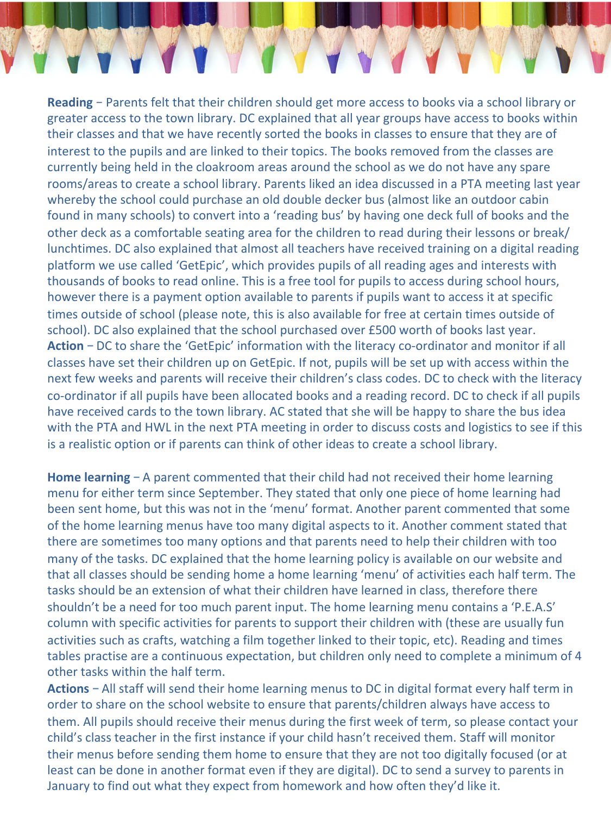**Reading** – Parents felt that their children should get more access to books via a school library or greater access to the town library. DC explained that all year groups have access to books within their classes and that we have recently sorted the books in classes to ensure that they are of interest to the pupils and are linked to their topics. The books removed from the classes are currently being held in the cloakroom areas around the school as we do not have any spare rooms/areas to create a school library. Parents liked an idea discussed in a PTA meeting last year whereby the school could purchase an old double decker bus (almost like an outdoor cabin found in many schools) to convert into a 'reading bus' by having one deck full of books and the other deck as a comfortable seating area for the children to read during their lessons or break/ lunchtimes. DC also explained that almost all teachers have received training on a digital reading platform we use called 'GetEpic', which provides pupils of all reading ages and interests with thousands of books to read online. This is a free tool for pupils to access during school hours, however there is a payment option available to parents if pupils want to access it at specific times outside of school (please note, this is also available for free at certain times outside of school). DC also explained that the school purchased over £500 worth of books last year. **Action** – DC to share the 'GetEpic' information with the literacy co-ordinator and monitor if all classes have set their children up on GetEpic. If not, pupils will be set up with access within the next few weeks and parents will receive their children's class codes. DC to check with the literacy co-ordinator if all pupils have been allocated books and a reading record. DC to check if all pupils have received cards to the town library. AC stated that she will be happy to share the bus idea with the PTA and HWL in the next PTA meeting in order to discuss costs and logistics to see if this is a realistic option or if parents can think of other ideas to create a school library.

**Home learning** – A parent commented that their child had not received their home learning menu for either term since September. They stated that only one piece of home learning had been sent home, but this was not in the 'menu' format. Another parent commented that some of the home learning menus have too many digital aspects to it. Another comment stated that there are sometimes too many options and that parents need to help their children with too many of the tasks. DC explained that the home learning policy is available on our website and that all classes should be sending home a home learning 'menu' of activities each half term. The tasks should be an extension of what their children have learned in class, therefore there shouldn't be a need for too much parent input. The home learning menu contains a 'P.E.A.S' column with specific activities for parents to support their children with (these are usually fun activities such as crafts, watching a film together linked to their topic, etc). Reading and times tables practise are a continuous expectation, but children only need to complete a minimum of 4 other tasks within the half term.

**Actions** – All staff will send their home learning menus to DC in digital format every half term in order to share on the school website to ensure that parents/children always have access to them. All pupils should receive their menus during the first week of term, so please contact your child's class teacher in the first instance if your child hasn't received them. Staff will monitor their menus before sending them home to ensure that they are not too digitally focused (or at least can be done in another format even if they are digital). DC to send a survey to parents in January to find out what they expect from homework and how often they'd like it.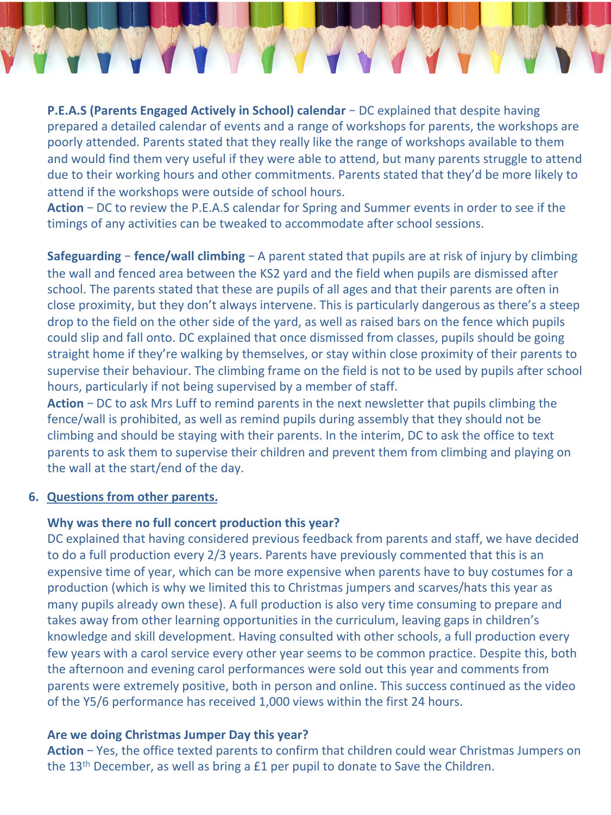**P.E.A.S (Parents Engaged Actively in School) calendar** – DC explained that despite having prepared a detailed calendar of events and a range of workshops for parents, the workshops are poorly attended. Parents stated that they really like the range of workshops available to them and would find them very useful if they were able to attend, but many parents struggle to attend due to their working hours and other commitments. Parents stated that they'd be more likely to attend if the workshops were outside of school hours.

**Action** – DC to review the P.E.A.S calendar for Spring and Summer events in order to see if the timings of any activities can be tweaked to accommodate after school sessions.

**Safeguarding – fence/wall climbing – A** parent stated that pupils are at risk of injury by climbing the wall and fenced area between the KS2 yard and the field when pupils are dismissed after school. The parents stated that these are pupils of all ages and that their parents are often in close proximity, but they don't always intervene. This is particularly dangerous as there's a steep drop to the field on the other side of the yard, as well as raised bars on the fence which pupils could slip and fall onto. DC explained that once dismissed from classes, pupils should be going straight home if they're walking by themselves, or stay within close proximity of their parents to supervise their behaviour. The climbing frame on the field is not to be used by pupils after school hours, particularly if not being supervised by a member of staff.

**Action** – DC to ask Mrs Luff to remind parents in the next newsletter that pupils climbing the fence/wall is prohibited, as well as remind pupils during assembly that they should not be climbing and should be staying with their parents. In the interim, DC to ask the office to text parents to ask them to supervise their children and prevent them from climbing and playing on the wall at the start/end of the day.

#### **6.** Questions from other parents.

### **Why was there no full concert production this year?**

DC explained that having considered previous feedback from parents and staff, we have decided to do a full production every 2/3 years. Parents have previously commented that this is an expensive time of year, which can be more expensive when parents have to buy costumes for a production (which is why we limited this to Christmas jumpers and scarves/hats this year as many pupils already own these). A full production is also very time consuming to prepare and takes away from other learning opportunities in the curriculum, leaving gaps in children's knowledge and skill development. Having consulted with other schools, a full production every few years with a carol service every other year seems to be common practice. Despite this, both the afternoon and evening carol performances were sold out this year and comments from parents were extremely positive, both in person and online. This success continued as the video of the Y5/6 performance has received 1,000 views within the first 24 hours.

### Are we doing Christmas Jumper Day this year?

**Action** – Yes, the office texted parents to confirm that children could wear Christmas Jumpers on the  $13<sup>th</sup>$  December, as well as bring a £1 per pupil to donate to Save the Children.